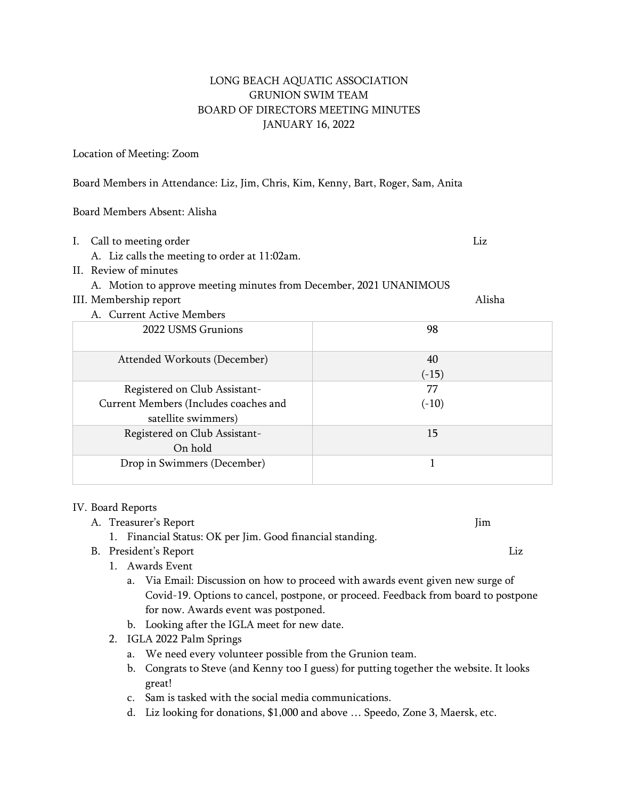# LONG BEACH AQUATIC ASSOCIATION GRUNION SWIM TEAM BOARD OF DIRECTORS MEETING MINUTES JANUARY 16, 2022

#### Location of Meeting: Zoom

Board Members in Attendance: Liz, Jim, Chris, Kim, Kenny, Bart, Roger, Sam, Anita

Board Members Absent: Alisha

- I. Call to meeting order and the state of the control of the control of the control of the control of the control of the control of the control of the control of the control of the control of the control of the control of
	- A. Liz calls the meeting to order at 11:02am.
- II. Review of minutes

## A. Motion to approve meeting minutes from December, 2021 UNANIMOUS

## III. Membership report Alisha

A. Current Active Members 2022 USMS Grunions 98 Attended Workouts (December) 40  $(-15)$ Registered on Club Assistant-Current Members (Includes coaches and satellite swimmers) 77  $(-10)$ Registered on Club Assistant-On hold 15 Drop in Swimmers (December) 1

#### IV. Board Reports

A. Treasurer's Report **Julie 2018** (1999) 1999 (1999) 1999 (1999) 1999 (1999) 1999 (1999) 1999 (1999) 1999 (1999) 1999 (1999) 1999 (1999) 1999 (1999) 1999 (1999) 1999 (1999) 1999 (1999) 1999 (1999) 1999 (1999) 1999 (1999)

- 1. Financial Status: OK per Jim. Good financial standing.
- B. President's Report Liz
	- 1. Awards Event
		- a. Via Email: Discussion on how to proceed with awards event given new surge of Covid-19. Options to cancel, postpone, or proceed. Feedback from board to postpone for now. Awards event was postponed.
		- b. Looking after the IGLA meet for new date.
	- 2. IGLA 2022 Palm Springs
		- a. We need every volunteer possible from the Grunion team.
		- b. Congrats to Steve (and Kenny too I guess) for putting together the website. It looks great!
		- c. Sam is tasked with the social media communications.
		- d. Liz looking for donations, \$1,000 and above … Speedo, Zone 3, Maersk, etc.
- 
-